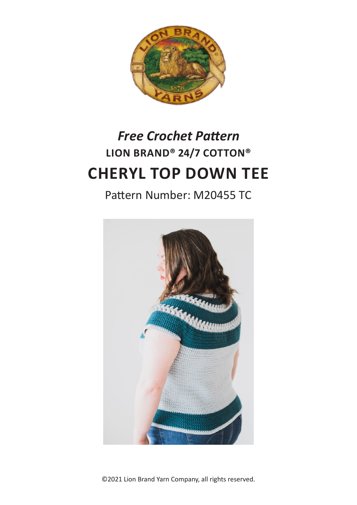

# **LION BRAND® 24/7 COTTON® CHERYL TOP DOWN TEE**  *Free Crochet Pattern*

Pattern Number: M20455 TC



©2021 Lion Brand Yarn Company, all rights reserved.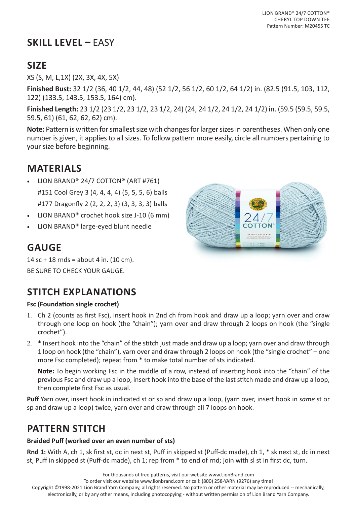# **SKILL LEVEL –** EASY

# **SIZE**

XS (S, M, L,1X) (2X, 3X, 4X, 5X)

**Finished Bust:** 32 1/2 (36, 40 1/2, 44, 48) (52 1/2, 56 1/2, 60 1/2, 64 1/2) in. (82.5 (91.5, 103, 112, 122) (133.5, 143.5, 153.5, 164) cm).

**Finished Length:** 23 1/2 (23 1/2, 23 1/2, 23 1/2, 24) (24, 24 1/2, 24 1/2, 24 1/2) in. (59.5 (59.5, 59.5, 59.5, 61) (61, 62, 62, 62) cm).

**Note:** Pattern is written for smallest size with changes for larger sizes in parentheses. When only one number is given, it applies to all sizes. To follow pattern more easily, circle all numbers pertaining to your size before beginning.

### **MATERIALS**

- LION BRAND® 24/7 COTTON® (ART #761) #151 Cool Grey 3 (4, 4, 4, 4) (5, 5, 5, 6) balls #177 Dragonfly 2 (2, 2, 2, 3) (3, 3, 3, 3) balls
- LION BRAND® crochet hook size J-10 (6 mm)
- LION BRAND® large-eyed blunt needle

# **GAUGE**

14 sc + 18 rnds = about 4 in.  $(10 \text{ cm})$ . BE SURE TO CHECK YOUR GAUGE.

# **STITCH EXPLANATIONS**

#### **Fsc (Foundation single crochet)**

- 1. Ch 2 (counts as first Fsc), insert hook in 2nd ch from hook and draw up a loop; yarn over and draw through one loop on hook (the "chain"); yarn over and draw through 2 loops on hook (the "single crochet").
- 2. \* Insert hook into the "chain" of the stitch just made and draw up a loop; yarn over and draw through 1 loop on hook (the "chain"), yarn over and draw through 2 loops on hook (the "single crochet" – one more Fsc completed); repeat from \* to make total number of sts indicated.

**Note:** To begin working Fsc in the middle of a row, instead of inserting hook into the "chain" of the previous Fsc and draw up a loop, insert hook into the base of the last stitch made and draw up a loop, then complete first Fsc as usual.

**Puff** Yarn over, insert hook in indicated st or sp and draw up a loop, (yarn over, insert hook in *same* st or sp and draw up a loop) twice, yarn over and draw through all 7 loops on hook.

### **PATTERN STITCH**

#### **Braided Puff (worked over an even number of sts)**

**Rnd 1:** With A, ch 1, sk first st, dc in next st, Puff in skipped st (Puff-dc made), ch 1, \* sk next st, dc in next st, Puff in skipped st (Puff-dc made), ch 1; rep from \* to end of rnd; join with sl st in first dc, turn.

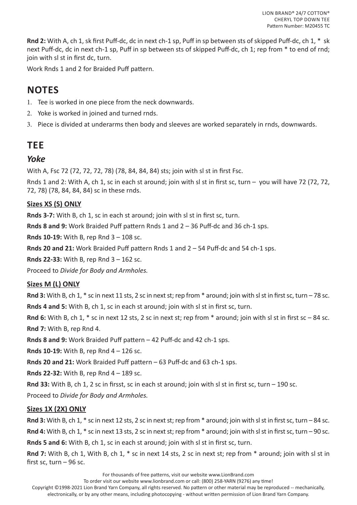**Rnd 2:** With A, ch 1, sk first Puff-dc, dc in next ch-1 sp, Puff in sp between sts of skipped Puff-dc, ch 1, \* sk next Puff-dc, dc in next ch-1 sp, Puff in sp between sts of skipped Puff-dc, ch 1; rep from \* to end of rnd; join with sl st in first dc, turn.

Work Rnds 1 and 2 for Braided Puff pattern.

### **NOTES**

- 1. Tee is worked in one piece from the neck downwards.
- 2. Yoke is worked in joined and turned rnds.
- 3. Piece is divided at underarms then body and sleeves are worked separately in rnds, downwards.

### **TEE**

#### *Yoke*

With A, Fsc 72 (72, 72, 72, 78) (78, 84, 84, 84) sts; join with sl st in first Fsc.

Rnds 1 and 2: With A, ch 1, sc in each st around; join with sl st in first sc, turn – you will have 72 (72, 72, 72, 78) (78, 84, 84, 84) sc in these rnds.

#### **Sizes XS (S) ONLY**

**Rnds 3-7:** With B, ch 1, sc in each st around; join with sl st in first sc, turn.

**Rnds 8 and 9:** Work Braided Puff pattern Rnds 1 and 2 – 36 Puff-dc and 36 ch-1 sps.

**Rnds 10-19:** With B, rep Rnd 3 – 108 sc.

**Rnds 20 and 21:** Work Braided Puff pattern Rnds 1 and 2 – 54 Puff-dc and 54 ch-1 sps.

**Rnds 22-33:** With B, rep Rnd 3 – 162 sc.

Proceed to *Divide for Body and Armholes.*

#### **Sizes M (L) ONLY**

**Rnd 3:** With B, ch 1, \* sc in next 11 sts, 2 sc in next st; rep from \* around; join with sl st in first sc, turn – 78 sc. **Rnds 4 and 5:** With B, ch 1, sc in each st around; join with sl st in first sc, turn.

**Rnd 6:** With B, ch 1, \* sc in next 12 sts, 2 sc in next st; rep from \* around; join with sl st in first sc – 84 sc. **Rnd 7:** With B, rep Rnd 4.

**Rnds 8 and 9:** Work Braided Puff pattern – 42 Puff-dc and 42 ch-1 sps.

**Rnds 10-19:** With B, rep Rnd 4 – 126 sc.

**Rnds 20 and 21:** Work Braided Puff pattern – 63 Puff-dc and 63 ch-1 sps.

**Rnds 22-32:** With B, rep Rnd 4 – 189 sc.

**Rnd 33:** With B, ch 1, 2 sc in firsst, sc in each st around; join with sl st in first sc, turn – 190 sc.

Proceed to *Divide for Body and Armholes.*

#### **Sizes 1X (2X) ONLY**

**Rnd 3:** With B, ch 1, \* sc in next 12 sts, 2 sc in next st; rep from \* around; join with sl st in first sc, turn – 84 sc. **Rnd 4:** With B, ch 1, \* sc in next 13 sts, 2 sc in next st; rep from \* around; join with sl st in first sc, turn – 90 sc. **Rnds 5 and 6:** With B, ch 1, sc in each st around; join with sl st in first sc, turn.

**Rnd 7:** With B, ch 1, With B, ch 1, \* sc in next 14 sts, 2 sc in next st; rep from \* around; join with sl st in first sc, turn – 96 sc.

For thousands of free patterns, visit our website www.LionBrand.com

To order visit our website www.lionbrand.com or call: (800) 258-YARN (9276) any time!

Copyright ©1998-2021 Lion Brand Yarn Company, all rights reserved. No pattern or other material may be reproduced -- mechanically,

electronically, or by any other means, including photocopying - without written permission of Lion Brand Yarn Company.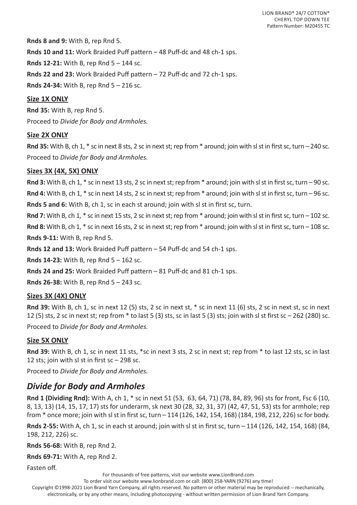**Rnds 8 and 9:** With B, rep Rnd 5. **Rnds 10 and 11:** Work Braided Puff pattern – 48 Puff-dc and 48 ch-1 sps. **Rnds 12-21:** With B, rep Rnd 5 – 144 sc. **Rnds 22 and 23:** Work Braided Puff pattern – 72 Puff-dc and 72 ch-1 sps. **Rnds 24-34:** With B, rep Rnd 5 – 216 sc.

#### **Size 1X ONLY**

**Rnd 35:** With B, rep Rnd 5. Proceed to *Divide for Body and Armholes.*

#### **Size 2X ONLY**

**Rnd 35:** With B, ch 1, \* sc in next 8 sts, 2 sc in next st; rep from \* around; join with sl st in first sc, turn – 240 sc. Proceed to *Divide for Body and Armholes.*

#### **Sizes 3X (4X, 5X) ONLY**

**Rnd 3:** With B, ch 1, \* sc in next 13 sts, 2 sc in next st; rep from \* around; join with sl st in first sc, turn – 90 sc. **Rnd 4:** With B, ch 1, \* sc in next 14 sts, 2 sc in next st; rep from \* around; join with sl st in first sc, turn – 96 sc. **Rnds 5 and 6:** With B, ch 1, sc in each st around; join with sl st in first sc, turn.

**Rnd 7:** With B, ch 1, \* sc in next 15 sts, 2 sc in next st; rep from \* around; join with sl st in first sc, turn – 102 sc. **Rnd 8:** With B, ch 1, \* sc in next 16 sts, 2 sc in next st; rep from \* around; join with sl st in first sc, turn – 108 sc. **Rnds 9-11:** With B, rep Rnd 5.

**Rnds 12 and 13:** Work Braided Puff pattern – 54 Puff-dc and 54 ch-1 sps.

**Rnds 14-23:** With B, rep Rnd 5 – 162 sc.

**Rnds 24 and 25:** Work Braided Puff pattern – 81 Puff-dc and 81 ch-1 sps.

**Rnds 26-38:** With B, rep Rnd 5 – 243 sc.

#### **Sizes 3X (4X) ONLY**

**Rnd 39:** With B, ch 1, sc in next 12 (5) sts, 2 sc in next st, \* sc in next 11 (6) sts, 2 sc in next st, sc in next 12 (5) sts, 2 sc in next st; rep from  $*$  to last 5 (3) sts, sc in last 5 (3) sts; join with sl st first sc  $-$  262 (280) sc. Proceed to *Divide for Body and Armholes.*

#### **Size 5X ONLY**

**Rnd 39:** With B, ch 1, sc in next 11 sts, \*sc in next 3 sts, 2 sc in next st; rep from \* to last 12 sts, sc in last 12 sts; join with sl st in first  $sc - 298$  sc.

Proceed to *Divide for Body and Armholes.*

#### *Divide for Body and Armholes*

**Rnd 1 (Dividing Rnd):** With A, ch 1, \* sc in next 51 (53, 63, 64, 71) (78, 84, 89, 96) sts for front, Fsc 6 (10, 8, 13, 13) (14, 15, 17, 17) sts for underarm, sk next 30 (28, 32, 31, 37) (42, 47, 51, 53) sts for armhole; rep from \* once more; join with sl st in first sc, turn – 114 (126, 142, 154, 168) (184, 198, 212, 226) sc for body.

**Rnds 2-55:** With A, ch 1, sc in each st around; join with sl st in first sc, turn – 114 (126, 142, 154, 168) (84, 198, 212, 226) sc.

**Rnds 56-68:** With B, rep Rnd 2.

**Rnds 69-71:** With A, rep Rnd 2.

Fasten off.

For thousands of free patterns, visit our website www.LionBrand.com

To order visit our website www.lionbrand.com or call: (800) 258-YARN (9276) any time!

Copyright ©1998-2021 Lion Brand Yarn Company, all rights reserved. No pattern or other material may be reproduced -- mechanically,

electronically, or by any other means, including photocopying - without written permission of Lion Brand Yarn Company.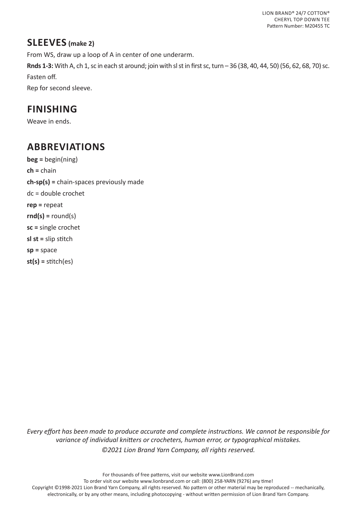### **SLEEVES (make 2)**

From WS, draw up a loop of A in center of one underarm.

**Rnds 1-3:** With A, ch 1, sc in each st around; join with sl st in first sc, turn – 36 (38, 40, 44, 50) (56, 62, 68, 70) sc. Fasten off.

Rep for second sleeve.

# **FINISHING**

Weave in ends.

# **ABBREVIATIONS**

**beg =** begin(ning) **ch =** chain **ch-sp(s) =** chain-spaces previously made dc = double crochet **rep =** repeat  $rnd(s) = round(s)$ **sc =** single crochet **sl st =** slip stitch **sp =** space **st(s) =** stitch(es)

*Every effort has been made to produce accurate and complete instructions. We cannot be responsible for variance of individual knitters or crocheters, human error, or typographical mistakes. ©2021 Lion Brand Yarn Company, all rights reserved.*

For thousands of free patterns, visit our website www.LionBrand.com To order visit our website www.lionbrand.com or call: (800) 258-YARN (9276) any time! Copyright ©1998-2021 Lion Brand Yarn Company, all rights reserved. No pattern or other material may be reproduced -- mechanically, electronically, or by any other means, including photocopying - without written permission of Lion Brand Yarn Company.